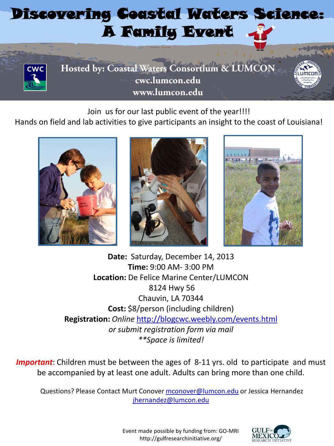## Discovering Coastal Water[s Sci](http://www.google.com/url?sa=i&rct=j&q=&esrc=s&frm=1&source=images&cd=&cad=rja&docid=q8Hi9yXHmnr3iM&tbnid=xEfBFYrgj0wB_M:&ved=0CAUQjRw&url=http://www.123rf.com/photo_10942477_santa-claus-cartoon-isolated-over-white-background-vector.html&ei=qzKGUojaI8H42AW6toGgAQ&bvm=bv.56643336,d.b2I&psig=AFQjCNGYVgZo63Z8tkFhG1n5tm1gPFx8VA&ust=1384612893360575)ence: A Family Event



**Hosted by: Coastal Waters Consortium & LUMCON cwc.lumcon.edu www.lumcon.edu**

Join us for our last public event of the year!!!!

Hands on field and lab activities to give participants an insight to the coast of Louisiana!







**Date:** Saturday, December 14, 2013 **Time:** 9:00 AM- 3:00 PM **Location:** De Felice Marine Center/LUMCON 8124 Hwy 56 Chauvin, LA 70344 **Cost:** \$8/person (including children) **Registration:** *Online* <http://blogcwc.weebly.com/events.html> *or submit registration form via mail \*\*Space is limited!*

**Important**: Children must be between the ages of 8-11 yrs. old to participate and must be accompanied by at least one adult. Adults can bring more than one child.

Questions? Please Contact Murt Conover [mconover@lumcon.edu](mailto:mconover@lumcon.edu) or Jessica Hernandez [jhernandez@lumcon.edu](mailto:jhernandez@lumcon.edu)